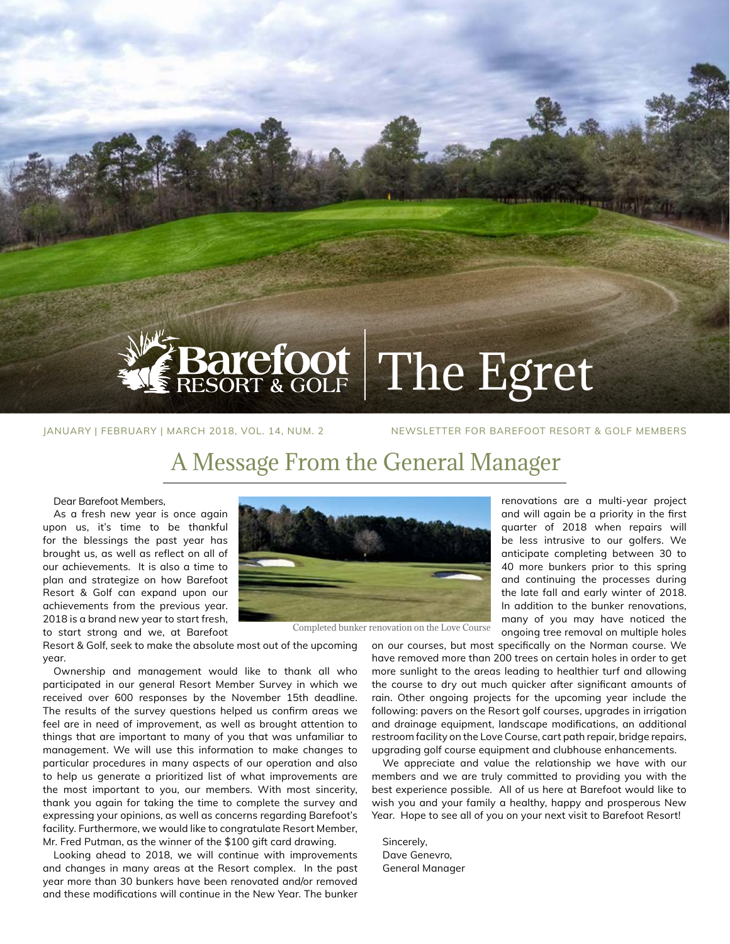

# Barefoot The Egret

JANUARY | FEBRUARY | MARCH 2018, VOL. 14, NUM. 2 NEWSLETTER FOR BAREFOOT RESORT & GOLF MEMBERS

## A Message From the General Manager

Dear Barefoot Members,

As a fresh new year is once again upon us, it's time to be thankful for the blessings the past year has brought us, as well as reflect on all of our achievements. It is also a time to plan and strategize on how Barefoot Resort & Golf can expand upon our achievements from the previous year. 2018 is a brand new year to start fresh,

to start strong and we, at Barefoot

Resort & Golf, seek to make the absolute most out of the upcoming year.

Ownership and management would like to thank all who participated in our general Resort Member Survey in which we received over 600 responses by the November 15th deadline. The results of the survey questions helped us confirm areas we feel are in need of improvement, as well as brought attention to things that are important to many of you that was unfamiliar to management. We will use this information to make changes to particular procedures in many aspects of our operation and also to help us generate a prioritized list of what improvements are the most important to you, our members. With most sincerity, thank you again for taking the time to complete the survey and expressing your opinions, as well as concerns regarding Barefoot's facility. Furthermore, we would like to congratulate Resort Member, Mr. Fred Putman, as the winner of the \$100 gift card drawing.

Looking ahead to 2018, we will continue with improvements and changes in many areas at the Resort complex. In the past year more than 30 bunkers have been renovated and/or removed and these modifications will continue in the New Year. The bunker



Completed bunker renovation on the Love Course

renovations are a multi-year project and will again be a priority in the first quarter of 2018 when repairs will be less intrusive to our golfers. We anticipate completing between 30 to 40 more bunkers prior to this spring and continuing the processes during the late fall and early winter of 2018. In addition to the bunker renovations, many of you may have noticed the ongoing tree removal on multiple holes

on our courses, but most specifically on the Norman course. We have removed more than 200 trees on certain holes in order to get more sunlight to the areas leading to healthier turf and allowing the course to dry out much quicker after significant amounts of rain. Other ongoing projects for the upcoming year include the following: pavers on the Resort golf courses, upgrades in irrigation and drainage equipment, landscape modifications, an additional restroom facility on the Love Course, cart path repair, bridge repairs, upgrading golf course equipment and clubhouse enhancements.

We appreciate and value the relationship we have with our members and we are truly committed to providing you with the best experience possible. All of us here at Barefoot would like to wish you and your family a healthy, happy and prosperous New Year. Hope to see all of you on your next visit to Barefoot Resort!

Sincerely, Dave Genevro, General Manager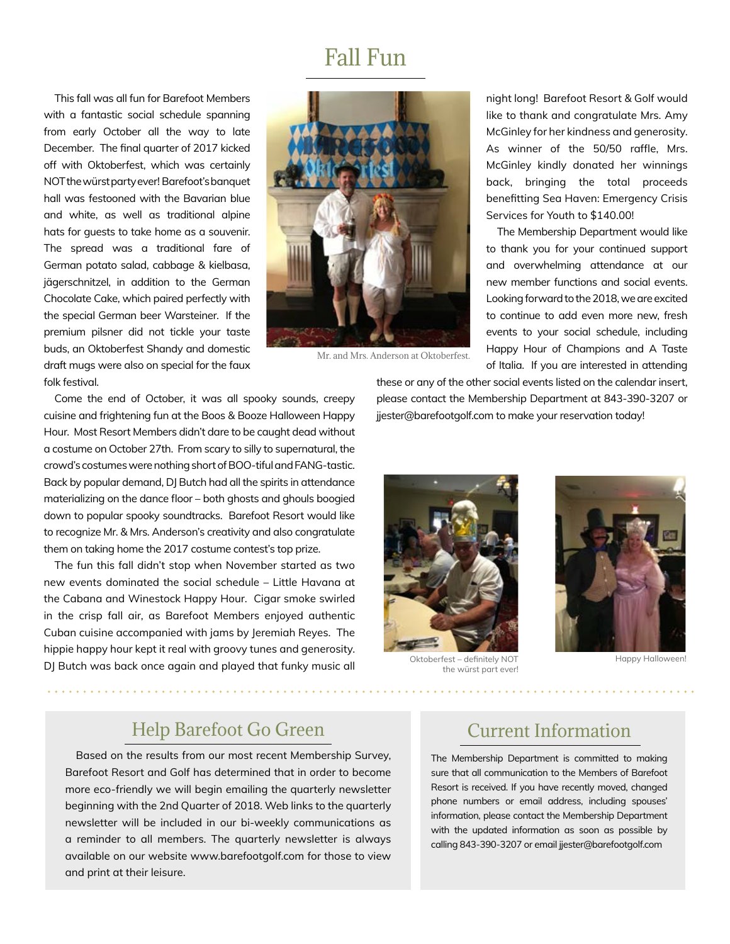### Fall Fun

This fall was all fun for Barefoot Members with a fantastic social schedule spanning from early October all the way to late December. The final quarter of 2017 kicked off with Oktoberfest, which was certainly NOT the würst party ever! Barefoot's banquet hall was festooned with the Bavarian blue and white, as well as traditional alpine hats for guests to take home as a souvenir. The spread was a traditional fare of German potato salad, cabbage & kielbasa, jägerschnitzel, in addition to the German Chocolate Cake, which paired perfectly with the special German beer Warsteiner. If the premium pilsner did not tickle your taste buds, an Oktoberfest Shandy and domestic draft mugs were also on special for the faux folk festival.



Mr. and Mrs. Anderson at Oktoberfest.

night long! Barefoot Resort & Golf would like to thank and congratulate Mrs. Amy McGinley for her kindness and generosity. As winner of the 50/50 raffle, Mrs. McGinley kindly donated her winnings back, bringing the total proceeds benefitting Sea Haven: Emergency Crisis Services for Youth to \$140.00!

The Membership Department would like to thank you for your continued support and overwhelming attendance at our new member functions and social events. Looking forward to the 2018, we are excited to continue to add even more new, fresh events to your social schedule, including Happy Hour of Champions and A Taste of Italia. If you are interested in attending

Come the end of October, it was all spooky sounds, creepy cuisine and frightening fun at the Boos & Booze Halloween Happy Hour. Most Resort Members didn't dare to be caught dead without a costume on October 27th. From scary to silly to supernatural, the crowd's costumes were nothing short of BOO-tiful and FANG-tastic. Back by popular demand, DJ Butch had all the spirits in attendance materializing on the dance floor – both ghosts and ghouls boogied down to popular spooky soundtracks. Barefoot Resort would like to recognize Mr. & Mrs. Anderson's creativity and also congratulate them on taking home the 2017 costume contest's top prize.

The fun this fall didn't stop when November started as two new events dominated the social schedule – Little Havana at the Cabana and Winestock Happy Hour. Cigar smoke swirled in the crisp fall air, as Barefoot Members enjoyed authentic Cuban cuisine accompanied with jams by Jeremiah Reyes. The hippie happy hour kept it real with groovy tunes and generosity. DJ Butch was back once again and played that funky music all

these or any of the other social events listed on the calendar insert, please contact the Membership Department at 843-390-3207 or jjester@barefootgolf.com to make your reservation today!



Oktoberfest – definitely NOT the würst part ever!



Happy Halloween!

#### Help Barefoot Go Green

Based on the results from our most recent Membership Survey, Barefoot Resort and Golf has determined that in order to become more eco-friendly we will begin emailing the quarterly newsletter beginning with the 2nd Quarter of 2018. Web links to the quarterly newsletter will be included in our bi-weekly communications as a reminder to all members. The quarterly newsletter is always available on our website www.barefootgolf.com for those to view and print at their leisure.

#### Current Information

The Membership Department is committed to making sure that all communication to the Members of Barefoot Resort is received. If you have recently moved, changed phone numbers or email address, including spouses' information, please contact the Membership Department with the updated information as soon as possible by calling 843-390-3207 or email jjester@barefootgolf.com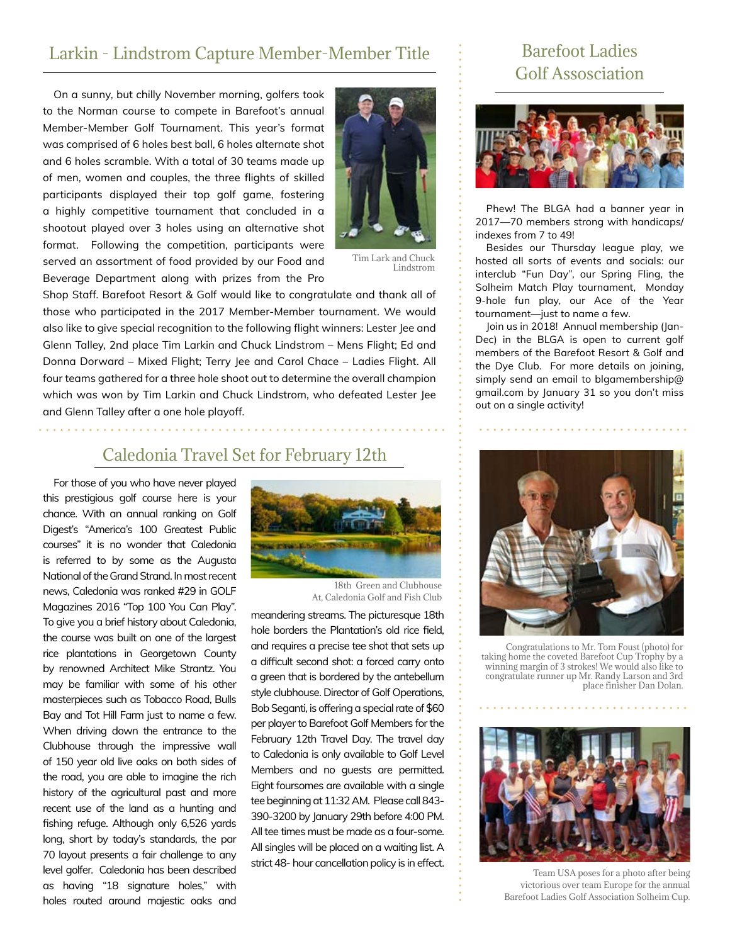#### Larkin - Lindstrom Capture Member-Member Title

On a sunny, but chilly November morning, golfers took to the Norman course to compete in Barefoot's annual Member-Member Golf Tournament. This year's format was comprised of 6 holes best ball, 6 holes alternate shot and 6 holes scramble. With a total of 30 teams made up of men, women and couples, the three flights of skilled participants displayed their top golf game, fostering a highly competitive tournament that concluded in a shootout played over 3 holes using an alternative shot format. Following the competition, participants were served an assortment of food provided by our Food and Beverage Department along with prizes from the Pro



Tim Lark and Chuck Lindstrom

Shop Staff. Barefoot Resort & Golf would like to congratulate and thank all of those who participated in the 2017 Member-Member tournament. We would also like to give special recognition to the following flight winners: Lester Jee and Glenn Talley, 2nd place Tim Larkin and Chuck Lindstrom – Mens Flight; Ed and Donna Dorward – Mixed Flight; Terry Jee and Carol Chace – Ladies Flight. All four teams gathered for a three hole shoot out to determine the overall champion which was won by Tim Larkin and Chuck Lindstrom, who defeated Lester Jee and Glenn Talley after a one hole playoff.

#### Caledonia Travel Set for February 12th

For those of you who have never played this prestigious golf course here is your chance. With an annual ranking on Golf Digest's "America's 100 Greatest Public courses" it is no wonder that Caledonia is referred to by some as the Augusta National of the Grand Strand. In most recent news, Caledonia was ranked #29 in GOLF Magazines 2016 "Top 100 You Can Play". To give you a brief history about Caledonia, the course was built on one of the largest rice plantations in Georgetown County by renowned Architect Mike Strantz. You may be familiar with some of his other masterpieces such as Tobacco Road, Bulls Bay and Tot Hill Farm just to name a few. When driving down the entrance to the Clubhouse through the impressive wall of 150 year old live oaks on both sides of the road, you are able to imagine the rich history of the agricultural past and more recent use of the land as a hunting and fishing refuge. Although only 6,526 yards long, short by today's standards, the par 70 layout presents a fair challenge to any level golfer. Caledonia has been described as having "18 signature holes," with holes routed around majestic oaks and



18th Green and Clubhouse At, Caledonia Golf and Fish Club

meandering streams. The picturesque 18th hole borders the Plantation's old rice field, and requires a precise tee shot that sets up a difficult second shot: a forced carry onto a green that is bordered by the antebellum style clubhouse. Director of Golf Operations, Bob Seganti, is offering a special rate of \$60 per player to Barefoot Golf Members for the February 12th Travel Day. The travel day to Caledonia is only available to Golf Level Members and no guests are permitted. Eight foursomes are available with a single tee beginning at 11:32 AM. Please call 843- 390-3200 by January 29th before 4:00 PM. All tee times must be made as a four-some. All singles will be placed on a waiting list. A strict 48- hour cancellation policy is in effect.

#### Barefoot Ladies Golf Assosciation



Phew! The BLGA had a banner year in 2017—70 members strong with handicaps/ indexes from 7 to 49!

Besides our Thursday league play, we hosted all sorts of events and socials: our interclub "Fun Day", our Spring Fling, the Solheim Match Play tournament, Monday 9-hole fun play, our Ace of the Year tournament—just to name a few.

Join us in 2018! Annual membership (Jan-Dec) in the BLGA is open to current golf members of the Barefoot Resort & Golf and the Dye Club. For more details on joining, simply send an email to blgamembership@ gmail.com by January 31 so you don't miss out on a single activity!



Congratulations to Mr. Tom Foust (photo) for taking home the coveted Barefoot Cup Trophy by a winning margin of 3 strokes! We would also like to congratulate runner up Mr. Randy Larson and 3rd place finisher Dan Dolan.



Team USA poses for a photo after being victorious over team Europe for the annual Barefoot Ladies Golf Association Solheim Cup.